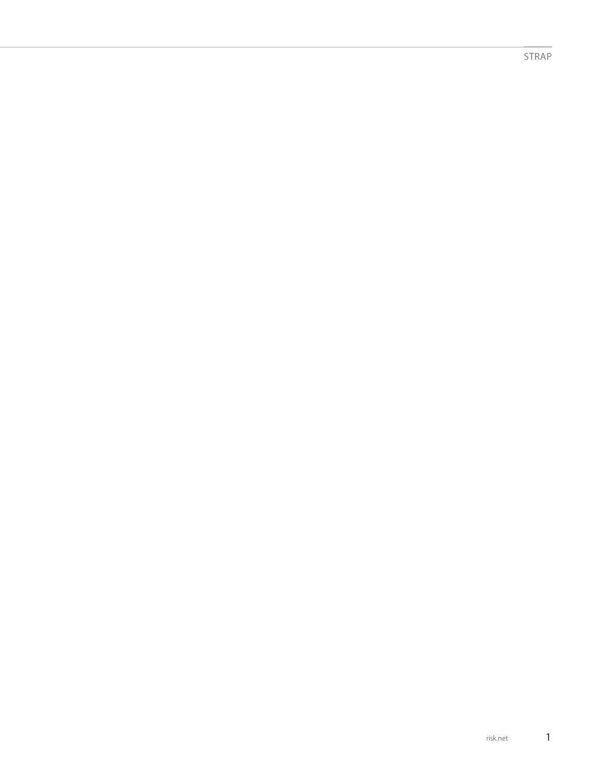STRAP